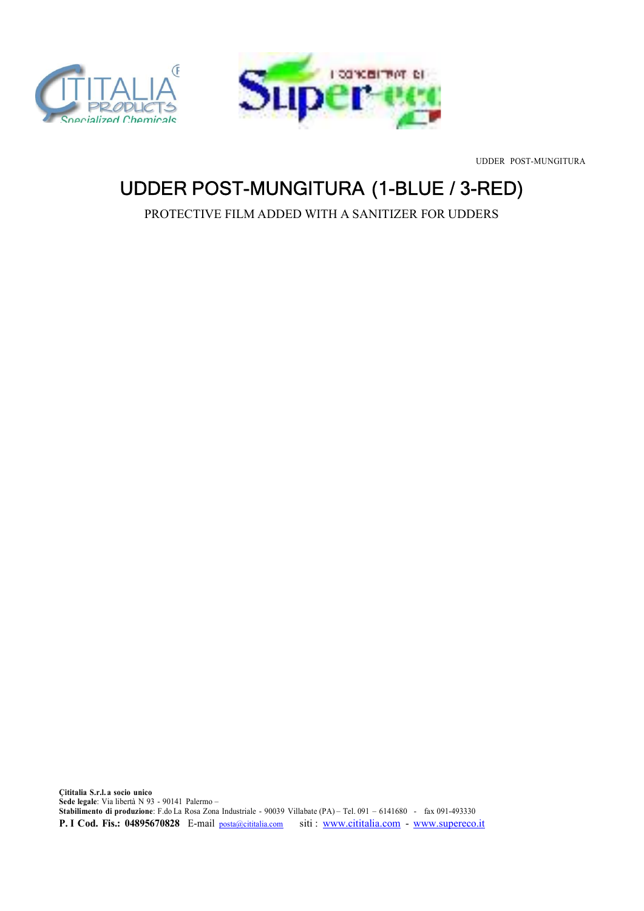



UDDER POST-MUNGITURA

## UDDER POST-MUNGITURA (1-BLUE / 3-RED)

PROTECTIVE FILM ADDED WITH A SANITIZER FOR UDDERS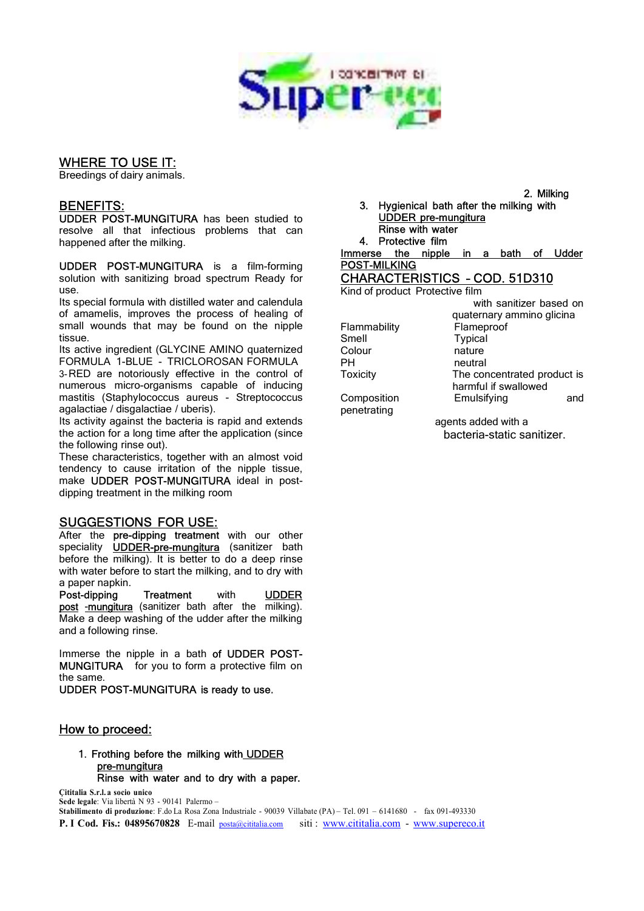

## **WHERE TO USE IT:**<br>Breedings of dairy animals.

BENEFITS: UDDER POST-MUNGITURA has been studied to resolve all that infectious problems that can happened after the milking.

UDDER POST-MUNGITURA is a film-forming solution with sanitizing broad spectrum Ready for use.

Its special formula with distilled water and calendula of amamelis, improves the process of healing of small wounds that may be found on the nipple tissue.

Its active ingredient (GLYCINE AMINO quaternized FORMULA 1-BLUE - TRICLOROSAN FORMULA 3-RED are notoriously effective in the control of Toxicity numerous micro-organisms capable of inducing mastitis (Staphylococcus aureus - Streptococcus agalactiae / disgalactiae / uberis).

Its activity against the bacteria is rapid and extends the action for a long time after the application (since the following rinse out).

These characteristics, together with an almost void tendency to cause irritation of the nipple tissue, make UDDER POST-MUNGITURA ideal in postdipping treatment in the milking room

**SUGGESTIONS FOR USE:**<br>After the pre-dipping treatment with our other speciality **UDDER-pre-mungitura** (sanitizer bath before the milking). It is better to do a deep rinse with water before to start the milking, and to dry with a paper napkin.

Post-dipping Treatment with UDDER post -mungitura (sanitizer bath after the milking). Make a deep washing of the udder after the milking and a following rinse.

Immerse the nipple in a bath of UDDER POST-MUNGITURA for you to form a protective film on the same.

UDDER POST-MUNGITURA is ready to use.

### How to proceed:

# 1. Frothing before the milking with UDDER<br>pre-mungitura<br>Rinse with water and to dry with a paper.

Çititalia S.r.l. a socio unico Sede legale: Via libertà N 93 - 90141 Palermo –

Stabilimento di produzione: F.do La Rosa Zona Industriale - 90039 Villabate (PA) – Tel. 091 – 6141680 - fax 091-493330 P. I Cod. Fis.: 04895670828 E-mail posta@cititalia.com siti : www.cititalia.com - www.supereco.it

2. Milking 3. Hygienical bath after the milking with 4. Protective film

Immerse the nipple in a bath of Udder<br>
POST-MILKING<br>
CHARACTERISTICS - COD. 51D310<br>
Kind of product Protective film

Smell Typical<br>Colour nature Colour

penetrating

with sanitizer based on quaternary ammino glicina Flammability Flameproof neutral The concentrated product is harmful if swallowed Composition Emulsifying and

> agents added with a bacteria-static sanitizer.